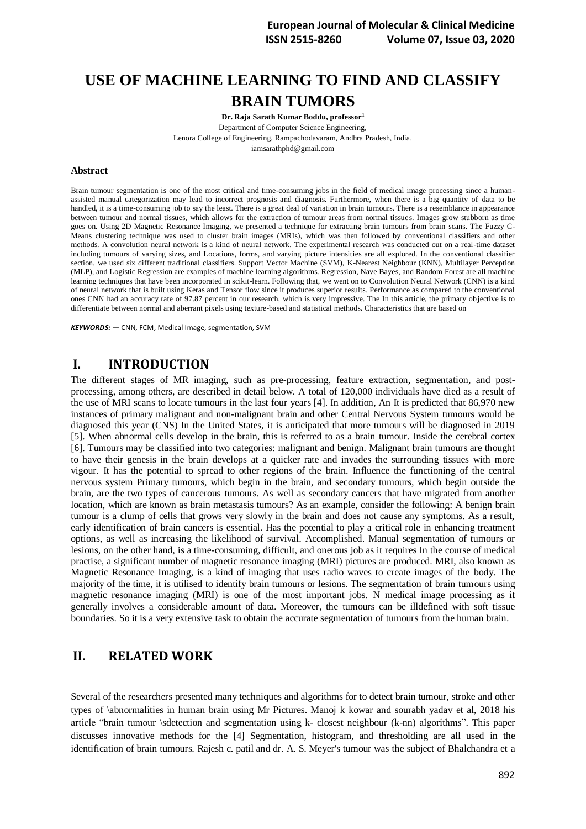# **USE OF MACHINE LEARNING TO FIND AND CLASSIFY BRAIN TUMORS**

**Dr. Raja Sarath Kumar Boddu, professor<sup>1</sup>** Department of Computer Science Engineering, Lenora College of Engineering, Rampachodavaram, Andhra Pradesh, India. [iamsarathphd@gmail.com](mailto:iamsarathphd@gmail.com)

#### **Abstract**

Brain tumour segmentation is one of the most critical and time-consuming jobs in the field of medical image processing since a humanassisted manual categorization may lead to incorrect prognosis and diagnosis. Furthermore, when there is a big quantity of data to be handled, it is a time-consuming job to say the least. There is a great deal of variation in brain tumours. There is a resemblance in appearance between tumour and normal tissues, which allows for the extraction of tumour areas from normal tissues. Images grow stubborn as time goes on. Using 2D Magnetic Resonance Imaging, we presented a technique for extracting brain tumours from brain scans. The Fuzzy C-Means clustering technique was used to cluster brain images (MRIs), which was then followed by conventional classifiers and other methods. A convolution neural network is a kind of neural network. The experimental research was conducted out on a real-time dataset including tumours of varying sizes, and Locations, forms, and varying picture intensities are all explored. In the conventional classifier section, we used six different traditional classifiers. Support Vector Machine (SVM), K-Nearest Neighbour (KNN), Multilayer Perception (MLP), and Logistic Regression are examples of machine learning algorithms. Regression, Nave Bayes, and Random Forest are all machine learning techniques that have been incorporated in scikit-learn. Following that, we went on to Convolution Neural Network (CNN) is a kind of neural network that is built using Keras and Tensor flow since it produces superior results. Performance as compared to the conventional ones CNN had an accuracy rate of 97.87 percent in our research, which is very impressive. The In this article, the primary objective is to differentiate between normal and aberrant pixels using texture-based and statistical methods. Characteristics that are based on

*KEYWORDS: —* CNN, FCM, Medical Image, segmentation, SVM

### **I. INTRODUCTION**

The different stages of MR imaging, such as pre-processing, feature extraction, segmentation, and postprocessing, among others, are described in detail below. A total of 120,000 individuals have died as a result of the use of MRI scans to locate tumours in the last four years [4]. In addition, An It is predicted that 86,970 new instances of primary malignant and non-malignant brain and other Central Nervous System tumours would be diagnosed this year (CNS) In the United States, it is anticipated that more tumours will be diagnosed in 2019 [5]. When abnormal cells develop in the brain, this is referred to as a brain tumour. Inside the cerebral cortex [6]. Tumours may be classified into two categories: malignant and benign. Malignant brain tumours are thought to have their genesis in the brain develops at a quicker rate and invades the surrounding tissues with more vigour. It has the potential to spread to other regions of the brain. Influence the functioning of the central nervous system Primary tumours, which begin in the brain, and secondary tumours, which begin outside the brain, are the two types of cancerous tumours. As well as secondary cancers that have migrated from another location, which are known as brain metastasis tumours? As an example, consider the following: A benign brain tumour is a clump of cells that grows very slowly in the brain and does not cause any symptoms. As a result, early identification of brain cancers is essential. Has the potential to play a critical role in enhancing treatment options, as well as increasing the likelihood of survival. Accomplished. Manual segmentation of tumours or lesions, on the other hand, is a time-consuming, difficult, and onerous job as it requires In the course of medical practise, a significant number of magnetic resonance imaging (MRI) pictures are produced. MRI, also known as Magnetic Resonance Imaging, is a kind of imaging that uses radio waves to create images of the body. The majority of the time, it is utilised to identify brain tumours or lesions. The segmentation of brain tumours using magnetic resonance imaging (MRI) is one of the most important jobs. N medical image processing as it generally involves a considerable amount of data. Moreover, the tumours can be illdefined with soft tissue boundaries. So it is a very extensive task to obtain the accurate segmentation of tumours from the human brain.

# **II. RELATED WORK**

Several of the researchers presented many techniques and algorithms for to detect brain tumour, stroke and other types of \abnormalities in human brain using Mr Pictures. Manoj k kowar and sourabh yadav et al, 2018 his article "brain tumour \sdetection and segmentation using k- closest neighbour (k-nn) algorithms". This paper discusses innovative methods for the [4] Segmentation, histogram, and thresholding are all used in the identification of brain tumours. Rajesh c. patil and dr. A. S. Meyer's tumour was the subject of Bhalchandra et a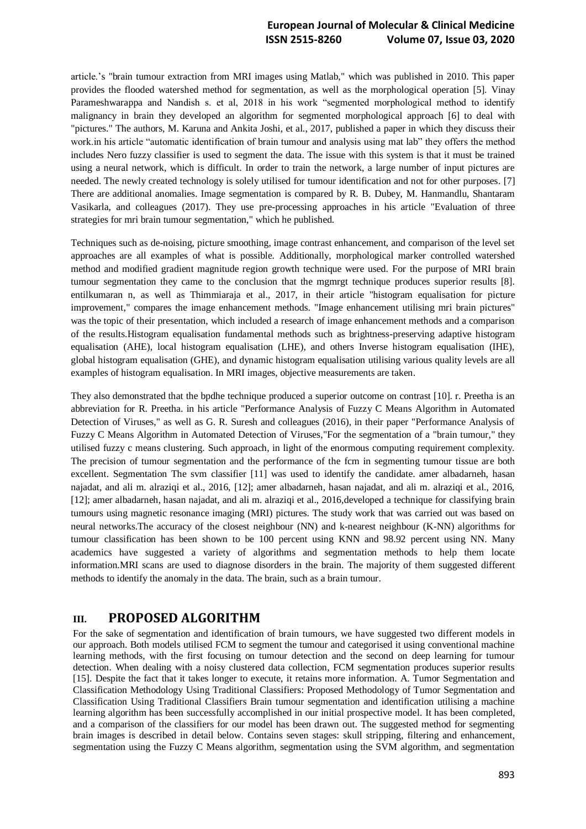### **European Journal of Molecular & Clinical Medicine ISSN 2515-8260 Volume 07, Issue 03, 2020**

article.'s "brain tumour extraction from MRI images using Matlab," which was published in 2010. This paper provides the flooded watershed method for segmentation, as well as the morphological operation [5]. Vinay Parameshwarappa and Nandish s. et al, 2018 in his work "segmented morphological method to identify malignancy in brain they developed an algorithm for segmented morphological approach [6] to deal with "pictures." The authors, M. Karuna and Ankita Joshi, et al., 2017, published a paper in which they discuss their work.in his article "automatic identification of brain tumour and analysis using mat lab" they offers the method includes Nero fuzzy classifier is used to segment the data. The issue with this system is that it must be trained using a neural network, which is difficult. In order to train the network, a large number of input pictures are needed. The newly created technology is solely utilised for tumour identification and not for other purposes. [7] There are additional anomalies. Image segmentation is compared by R. B. Dubey, M. Hanmandlu, Shantaram Vasikarla, and colleagues (2017). They use pre-processing approaches in his article "Evaluation of three strategies for mri brain tumour segmentation," which he published.

Techniques such as de-noising, picture smoothing, image contrast enhancement, and comparison of the level set approaches are all examples of what is possible. Additionally, morphological marker controlled watershed method and modified gradient magnitude region growth technique were used. For the purpose of MRI brain tumour segmentation they came to the conclusion that the mgmrgt technique produces superior results [8]. entilkumaran n, as well as Thimmiaraja et al., 2017, in their article "histogram equalisation for picture improvement," compares the image enhancement methods. "Image enhancement utilising mri brain pictures" was the topic of their presentation, which included a research of image enhancement methods and a comparison of the results.Histogram equalisation fundamental methods such as brightness-preserving adaptive histogram equalisation (AHE), local histogram equalisation (LHE), and others Inverse histogram equalisation (IHE), global histogram equalisation (GHE), and dynamic histogram equalisation utilising various quality levels are all examples of histogram equalisation. In MRI images, objective measurements are taken.

They also demonstrated that the bpdhe technique produced a superior outcome on contrast [10]. r. Preetha is an abbreviation for R. Preetha. in his article "Performance Analysis of Fuzzy C Means Algorithm in Automated Detection of Viruses," as well as G. R. Suresh and colleagues (2016), in their paper "Performance Analysis of Fuzzy C Means Algorithm in Automated Detection of Viruses,"For the segmentation of a "brain tumour," they utilised fuzzy c means clustering. Such approach, in light of the enormous computing requirement complexity. The precision of tumour segmentation and the performance of the fcm in segmenting tumour tissue are both excellent. Segmentation The svm classifier [11] was used to identify the candidate. amer albadarneh, hasan najadat, and ali m. alraziqi et al., 2016, [12]; amer albadarneh, hasan najadat, and ali m. alraziqi et al., 2016, [12]; amer albadarneh, hasan najadat, and ali m. alraziqi et al., 2016,developed a technique for classifying brain tumours using magnetic resonance imaging (MRI) pictures. The study work that was carried out was based on neural networks.The accuracy of the closest neighbour (NN) and k-nearest neighbour (K-NN) algorithms for tumour classification has been shown to be 100 percent using KNN and 98.92 percent using NN. Many academics have suggested a variety of algorithms and segmentation methods to help them locate information.MRI scans are used to diagnose disorders in the brain. The majority of them suggested different methods to identify the anomaly in the data. The brain, such as a brain tumour.

# **III. PROPOSED ALGORITHM**

For the sake of segmentation and identification of brain tumours, we have suggested two different models in our approach. Both models utilised FCM to segment the tumour and categorised it using conventional machine learning methods, with the first focusing on tumour detection and the second on deep learning for tumour detection. When dealing with a noisy clustered data collection, FCM segmentation produces superior results [15]. Despite the fact that it takes longer to execute, it retains more information. A. Tumor Segmentation and Classification Methodology Using Traditional Classifiers: Proposed Methodology of Tumor Segmentation and Classification Using Traditional Classifiers Brain tumour segmentation and identification utilising a machine learning algorithm has been successfully accomplished in our initial prospective model. It has been completed, and a comparison of the classifiers for our model has been drawn out. The suggested method for segmenting brain images is described in detail below. Contains seven stages: skull stripping, filtering and enhancement, segmentation using the Fuzzy C Means algorithm, segmentation using the SVM algorithm, and segmentation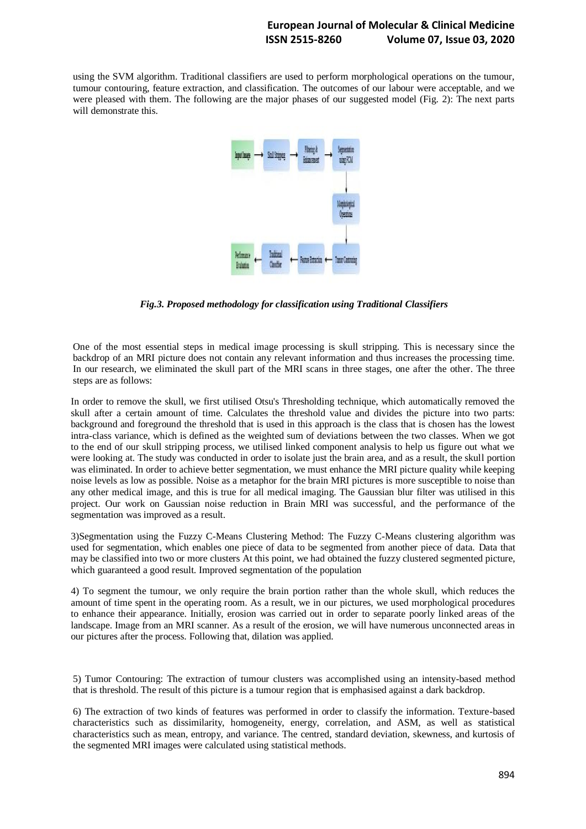### **European Journal of Molecular & Clinical Medicine ISSN 2515-8260 Volume 07, Issue 03, 2020**

using the SVM algorithm. Traditional classifiers are used to perform morphological operations on the tumour, tumour contouring, feature extraction, and classification. The outcomes of our labour were acceptable, and we were pleased with them. The following are the major phases of our suggested model (Fig. 2): The next parts will demonstrate this.



*Fig.3. Proposed methodology for classification using Traditional Classifiers*

One of the most essential steps in medical image processing is skull stripping. This is necessary since the backdrop of an MRI picture does not contain any relevant information and thus increases the processing time. In our research, we eliminated the skull part of the MRI scans in three stages, one after the other. The three steps are as follows:

In order to remove the skull, we first utilised Otsu's Thresholding technique, which automatically removed the skull after a certain amount of time. Calculates the threshold value and divides the picture into two parts: background and foreground the threshold that is used in this approach is the class that is chosen has the lowest intra-class variance, which is defined as the weighted sum of deviations between the two classes. When we got to the end of our skull stripping process, we utilised linked component analysis to help us figure out what we were looking at. The study was conducted in order to isolate just the brain area, and as a result, the skull portion was eliminated. In order to achieve better segmentation, we must enhance the MRI picture quality while keeping noise levels as low as possible. Noise as a metaphor for the brain MRI pictures is more susceptible to noise than any other medical image, and this is true for all medical imaging. The Gaussian blur filter was utilised in this project. Our work on Gaussian noise reduction in Brain MRI was successful, and the performance of the segmentation was improved as a result.

3)Segmentation using the Fuzzy C-Means Clustering Method: The Fuzzy C-Means clustering algorithm was used for segmentation, which enables one piece of data to be segmented from another piece of data. Data that may be classified into two or more clusters At this point, we had obtained the fuzzy clustered segmented picture, which guaranteed a good result. Improved segmentation of the population

4) To segment the tumour, we only require the brain portion rather than the whole skull, which reduces the amount of time spent in the operating room. As a result, we in our pictures, we used morphological procedures to enhance their appearance. Initially, erosion was carried out in order to separate poorly linked areas of the landscape. Image from an MRI scanner. As a result of the erosion, we will have numerous unconnected areas in our pictures after the process. Following that, dilation was applied.

5) Tumor Contouring: The extraction of tumour clusters was accomplished using an intensity-based method that is threshold. The result of this picture is a tumour region that is emphasised against a dark backdrop.

6) The extraction of two kinds of features was performed in order to classify the information. Texture-based characteristics such as dissimilarity, homogeneity, energy, correlation, and ASM, as well as statistical characteristics such as mean, entropy, and variance. The centred, standard deviation, skewness, and kurtosis of the segmented MRI images were calculated using statistical methods.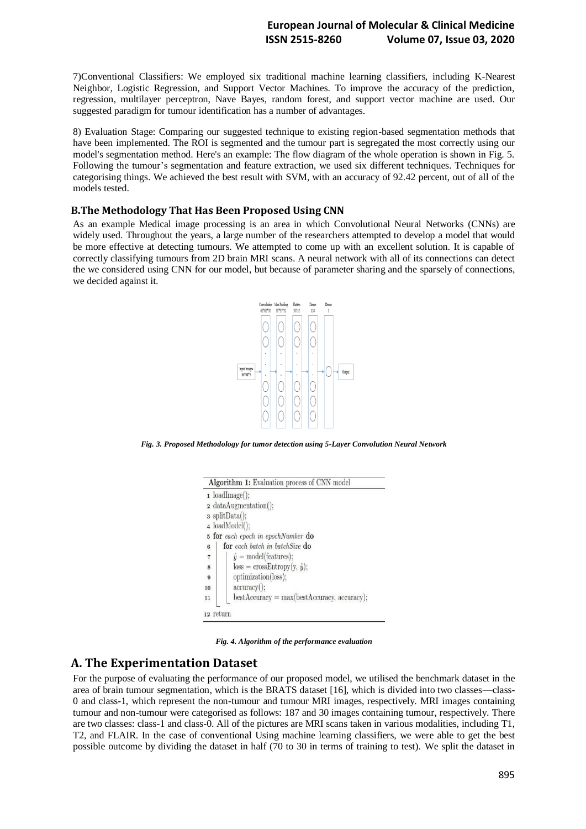### **European Journal of Molecular & Clinical Medicine ISSN 2515-8260 Volume 07, Issue 03, 2020**

7)Conventional Classifiers: We employed six traditional machine learning classifiers, including K-Nearest Neighbor, Logistic Regression, and Support Vector Machines. To improve the accuracy of the prediction, regression, multilayer perceptron, Nave Bayes, random forest, and support vector machine are used. Our suggested paradigm for tumour identification has a number of advantages.

8) Evaluation Stage: Comparing our suggested technique to existing region-based segmentation methods that have been implemented. The ROI is segmented and the tumour part is segregated the most correctly using our model's segmentation method. Here's an example: The flow diagram of the whole operation is shown in Fig. 5. Following the tumour's segmentation and feature extraction, we used six different techniques. Techniques for categorising things. We achieved the best result with SVM, with an accuracy of 92.42 percent, out of all of the models tested.

#### **B.The Methodology That Has Been Proposed Using CNN**

As an example Medical image processing is an area in which Convolutional Neural Networks (CNNs) are widely used. Throughout the years, a large number of the researchers attempted to develop a model that would be more effective at detecting tumours. We attempted to come up with an excellent solution. It is capable of correctly classifying tumours from 2D brain MRI scans. A neural network with all of its connections can detect the we considered using CNN for our model, but because of parameter sharing and the sparsely of connections, we decided against it.



*Fig. 3. Proposed Methodology for tumor detection using 5-Layer Convolution Neural Network*



*Fig. 4. Algorithm of the performance evaluation*

### **A. The Experimentation Dataset**

For the purpose of evaluating the performance of our proposed model, we utilised the benchmark dataset in the area of brain tumour segmentation, which is the BRATS dataset [16], which is divided into two classes—class-0 and class-1, which represent the non-tumour and tumour MRI images, respectively. MRI images containing tumour and non-tumour were categorised as follows: 187 and 30 images containing tumour, respectively. There are two classes: class-1 and class-0. All of the pictures are MRI scans taken in various modalities, including T1, T2, and FLAIR. In the case of conventional Using machine learning classifiers, we were able to get the best possible outcome by dividing the dataset in half (70 to 30 in terms of training to test). We split the dataset in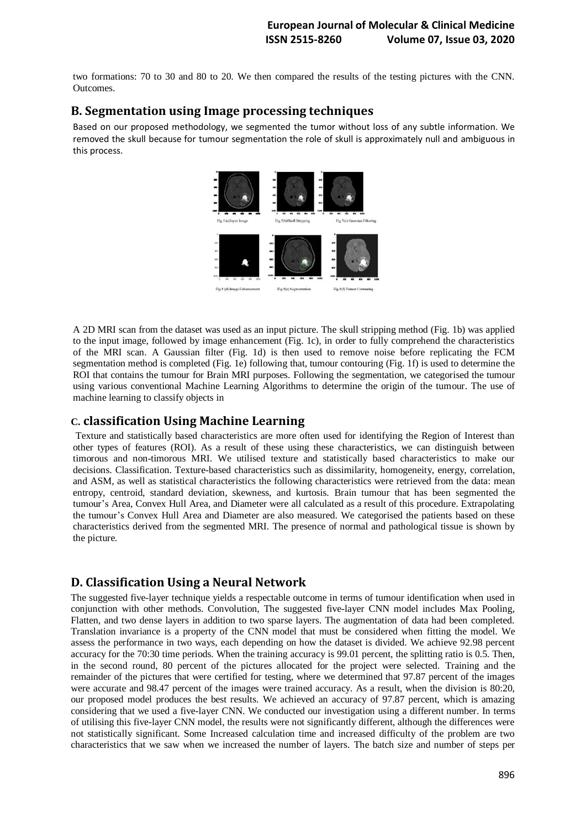two formations: 70 to 30 and 80 to 20. We then compared the results of the testing pictures with the CNN. Outcomes.

# **B. Segmentation using Image processing techniques**

Based on our proposed methodology, we segmented the tumor without loss of any subtle information. We removed the skull because for tumour segmentation the role of skull is approximately null and ambiguous in this process.



A 2D MRI scan from the dataset was used as an input picture. The skull stripping method (Fig. 1b) was applied to the input image, followed by image enhancement (Fig. 1c), in order to fully comprehend the characteristics of the MRI scan. A Gaussian filter (Fig. 1d) is then used to remove noise before replicating the FCM segmentation method is completed (Fig. 1e) following that, tumour contouring (Fig. 1f) is used to determine the ROI that contains the tumour for Brain MRI purposes. Following the segmentation, we categorised the tumour using various conventional Machine Learning Algorithms to determine the origin of the tumour. The use of machine learning to classify objects in

## **C. classification Using Machine Learning**

Texture and statistically based characteristics are more often used for identifying the Region of Interest than other types of features (ROI). As a result of these using these characteristics, we can distinguish between timorous and non-timorous MRI. We utilised texture and statistically based characteristics to make our decisions. Classification. Texture-based characteristics such as dissimilarity, homogeneity, energy, correlation, and ASM, as well as statistical characteristics the following characteristics were retrieved from the data: mean entropy, centroid, standard deviation, skewness, and kurtosis. Brain tumour that has been segmented the tumour's Area, Convex Hull Area, and Diameter were all calculated as a result of this procedure. Extrapolating the tumour's Convex Hull Area and Diameter are also measured. We categorised the patients based on these characteristics derived from the segmented MRI. The presence of normal and pathological tissue is shown by the picture.

# **D. Classification Using a Neural Network**

The suggested five-layer technique yields a respectable outcome in terms of tumour identification when used in conjunction with other methods. Convolution, The suggested five-layer CNN model includes Max Pooling, Flatten, and two dense layers in addition to two sparse layers. The augmentation of data had been completed. Translation invariance is a property of the CNN model that must be considered when fitting the model. We assess the performance in two ways, each depending on how the dataset is divided. We achieve 92.98 percent accuracy for the 70:30 time periods. When the training accuracy is 99.01 percent, the splitting ratio is 0.5. Then, in the second round, 80 percent of the pictures allocated for the project were selected. Training and the remainder of the pictures that were certified for testing, where we determined that 97.87 percent of the images were accurate and 98.47 percent of the images were trained accuracy. As a result, when the division is 80:20, our proposed model produces the best results. We achieved an accuracy of 97.87 percent, which is amazing considering that we used a five-layer CNN. We conducted our investigation using a different number. In terms of utilising this five-layer CNN model, the results were not significantly different, although the differences were not statistically significant. Some Increased calculation time and increased difficulty of the problem are two characteristics that we saw when we increased the number of layers. The batch size and number of steps per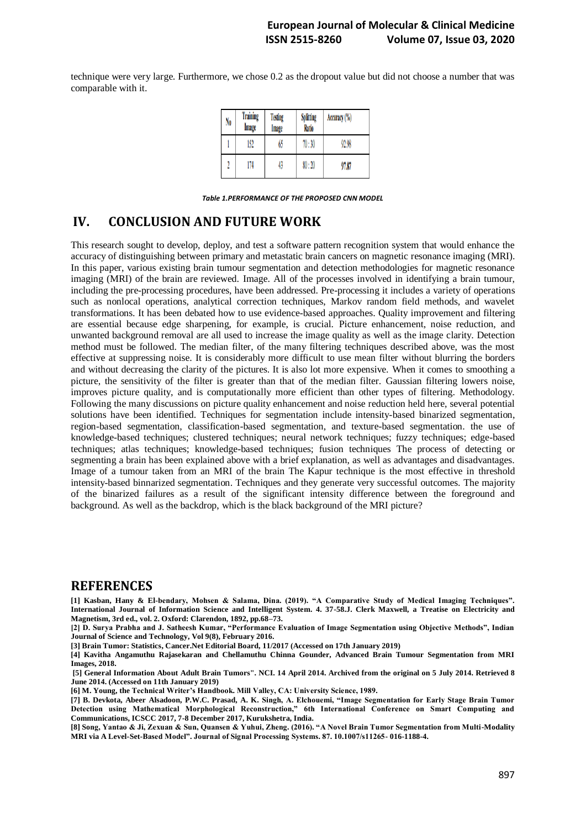technique were very large. Furthermore, we chose 0.2 as the dropout value but did not choose a number that was comparable with it.

| No | Training<br>Image | <b>Testing</b><br>Image | <b>Splitting</b><br>Ratio | Accuracy (%) |
|----|-------------------|-------------------------|---------------------------|--------------|
|    | 152               | 65                      | 70:30                     | 92.98        |
| 1  | 174               | 43                      | 80:20                     | 97.87        |

*Table 1.PERFORMANCE OF THE PROPOSED CNN MODEL*

# **IV. CONCLUSION AND FUTURE WORK**

This research sought to develop, deploy, and test a software pattern recognition system that would enhance the accuracy of distinguishing between primary and metastatic brain cancers on magnetic resonance imaging (MRI). In this paper, various existing brain tumour segmentation and detection methodologies for magnetic resonance imaging (MRI) of the brain are reviewed. Image. All of the processes involved in identifying a brain tumour, including the pre-processing procedures, have been addressed. Pre-processing it includes a variety of operations such as nonlocal operations, analytical correction techniques, Markov random field methods, and wavelet transformations. It has been debated how to use evidence-based approaches. Quality improvement and filtering are essential because edge sharpening, for example, is crucial. Picture enhancement, noise reduction, and unwanted background removal are all used to increase the image quality as well as the image clarity. Detection method must be followed. The median filter, of the many filtering techniques described above, was the most effective at suppressing noise. It is considerably more difficult to use mean filter without blurring the borders and without decreasing the clarity of the pictures. It is also lot more expensive. When it comes to smoothing a picture, the sensitivity of the filter is greater than that of the median filter. Gaussian filtering lowers noise, improves picture quality, and is computationally more efficient than other types of filtering. Methodology. Following the many discussions on picture quality enhancement and noise reduction held here, several potential solutions have been identified. Techniques for segmentation include intensity-based binarized segmentation, region-based segmentation, classification-based segmentation, and texture-based segmentation. the use of knowledge-based techniques; clustered techniques; neural network techniques; fuzzy techniques; edge-based techniques; atlas techniques; knowledge-based techniques; fusion techniques The process of detecting or segmenting a brain has been explained above with a brief explanation, as well as advantages and disadvantages. Image of a tumour taken from an MRI of the brain The Kapur technique is the most effective in threshold intensity-based binnarized segmentation. Techniques and they generate very successful outcomes. The majority of the binarized failures as a result of the significant intensity difference between the foreground and background. As well as the backdrop, which is the black background of the MRI picture?

### **REFERENCES**

**[1] Kasban, Hany & El-bendary, Mohsen & Salama, Dina. (2019). "A Comparative Study of Medical Imaging Techniques". International Journal of Information Science and Intelligent System. 4. 37-58.J. Clerk Maxwell, a Treatise on Electricity and Magnetism, 3rd ed., vol. 2. Oxford: Clarendon, 1892, pp.68–73.** 

**[2] D. Surya Prabha and J. Satheesh Kumar, "Performance Evaluation of Image Segmentation using Objective Methods", Indian Journal of Science and Technology, Vol 9(8), February 2016.** 

**[3] Brain Tumor: Statistics, Cancer.Net Editorial Board, 11/2017 (Accessed on 17th January 2019)** 

**[4] Kavitha Angamuthu Rajasekaran and Chellamuthu Chinna Gounder, Advanced Brain Tumour Segmentation from MRI Images, 2018.**

**[5] General Information About Adult Brain Tumors". NCI. 14 April 2014. Archived from the original on 5 July 2014. Retrieved 8 June 2014. (Accessed on 11th January 2019)** 

**[6] M. Young, the Technical Writer's Handbook. Mill Valley, CA: University Science, 1989.** 

**[7] B. Devkota, Abeer Alsadoon, P.W.C. Prasad, A. K. Singh, A. Elchouemi, "Image Segmentation for Early Stage Brain Tumor Detection using Mathematical Morphological Reconstruction," 6th International Conference on Smart Computing and Communications, ICSCC 2017, 7-8 December 2017, Kurukshetra, India.** 

**[8] Song, Yantao & Ji, Zexuan & Sun, Quansen & Yuhui, Zheng. (2016). "A Novel Brain Tumor Segmentation from Multi-Modality MRI via A Level-Set-Based Model". Journal of Signal Processing Systems. 87. 10.1007/s11265- 016-1188-4.**